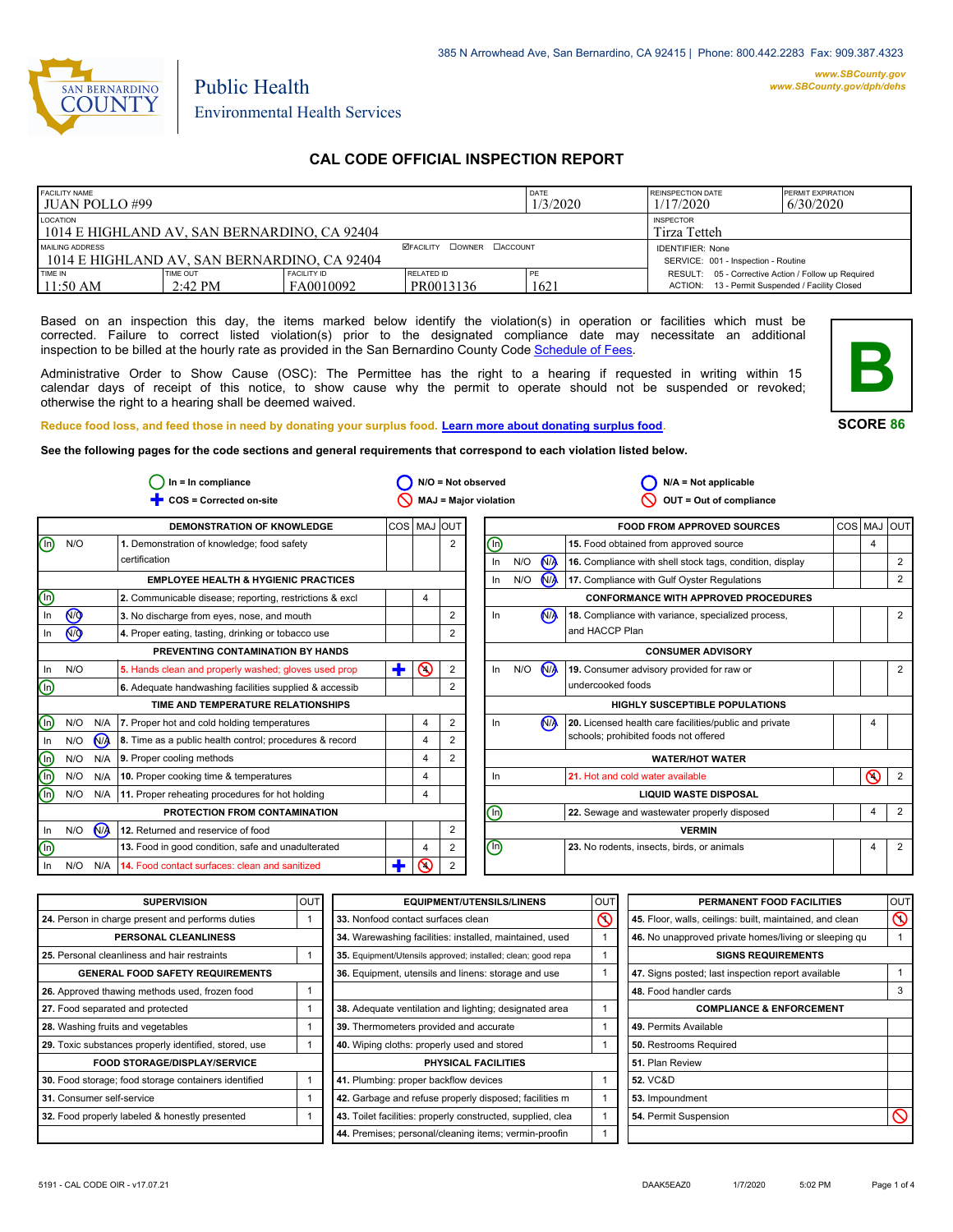

# Public Health Environmental Health Services

### **CAL CODE OFFICIAL INSPECTION REPORT**

| <b>FACILITY NAME</b><br>I JUAN POLLO #99                                                     |                               |                                  | DATE<br>1/3/2020                                               | <b>REINSPECTION DATE</b><br>1/17/2020 | <b>PERMIT EXPIRATION</b><br>6/30/2020                                                                  |  |
|----------------------------------------------------------------------------------------------|-------------------------------|----------------------------------|----------------------------------------------------------------|---------------------------------------|--------------------------------------------------------------------------------------------------------|--|
| LOCATION<br><b>INSPECTOR</b><br>1014 E HIGHLAND AV. SAN BERNARDINO. CA 92404<br>Tirza Tetteh |                               |                                  |                                                                |                                       |                                                                                                        |  |
| MAILING ADDRESS<br>1014 E HIGHLAND AV, SAN BERNARDINO, CA 92404                              |                               | <b>ØFACILITY COWNER CACCOUNT</b> | <b>IDENTIFIER: None</b><br>SERVICE: 001 - Inspection - Routine |                                       |                                                                                                        |  |
| TIME IN<br>11:50 AM                                                                          | TIME OUT<br>$2:42 \text{ PM}$ | FACILITY ID<br>FA0010092         | RELATED ID<br>PR0013136                                        | ' PE<br>1621                          | RESULT: 05 - Corrective Action / Follow up Required<br>ACTION: 13 - Permit Suspended / Facility Closed |  |

Based on an inspection this day, the items marked below identify the violation(s) in operation or facilities which must be corrected. Failure to correct listed violation(s) prior to the designated compliance date may necessitate an additional inspection to be billed at the hourly rate as provided in the San Bernardino County Code Schedule [of Fees.](http://www.amlegal.com/nxt/gateway.dll/California/sanbernardinocounty_ca/title1governmentandadministration/division6countyfees/chapter2scheduleoffees?f=templates$fn=default.htm$3.0$vid=amlegal:sanbernardinocounty_ca$anc=JD_16.0213B)

Administrative Order to Show Cause (OSC): The Permittee has the right to a hearing if requested in writing within 15 calendar days of receipt of this notice, to show cause why the permit to operate should not be suspended or revoked; otherwise the right to a hearing shall be deemed waived.



**SCORE 86**

**Reduce food loss, and feed those in need by donating your surplus food. Learn mor[e about donating surplus food.](http://wp.sbcounty.gov/dph/programs/ehs/food-facilities/)**

**See the following pages for the code sections and general requirements that correspond to each violation listed below.**

| $In = In$ compliance           |                |     |                                                         |             |                | $N/O = Not observed$ | $N/A = Not$ applicable |     |                      |                                                          |            |                |                |
|--------------------------------|----------------|-----|---------------------------------------------------------|-------------|----------------|----------------------|------------------------|-----|----------------------|----------------------------------------------------------|------------|----------------|----------------|
|                                |                |     | COS = Corrected on-site                                 |             |                |                      | MAJ = Major violation  |     |                      | OUT = Out of compliance                                  |            |                |                |
|                                |                |     | <b>DEMONSTRATION OF KNOWLEDGE</b>                       | COS MAJ OUT |                |                      |                        |     |                      | <b>FOOD FROM APPROVED SOURCES</b>                        | <b>COS</b> | MAJ            | loutl          |
| $\textcircled{\scriptsize{1}}$ | N/O            |     | 1. Demonstration of knowledge; food safety              |             |                | 2                    | ⓪                      |     |                      | 15. Food obtained from approved source                   |            | $\overline{4}$ |                |
|                                |                |     | certification                                           |             |                |                      | In                     | N/O | N <sub>A</sub>       | 16. Compliance with shell stock tags, condition, display |            |                | 2              |
|                                |                |     | <b>EMPLOYEE HEALTH &amp; HYGIENIC PRACTICES</b>         |             |                |                      | In                     | N/O | <b>N<sub>A</sub></b> | 17. Compliance with Gulf Oyster Regulations              |            |                | 2              |
| $\textcircled{\scriptsize{1}}$ |                |     | 2. Communicable disease; reporting, restrictions & excl |             | 4              |                      |                        |     |                      | <b>CONFORMANCE WITH APPROVED PROCEDURES</b>              |            |                |                |
| In                             | $\circledcirc$ |     | 3. No discharge from eyes, nose, and mouth              |             |                | $\overline{2}$       | In                     |     | N <sub>A</sub>       | 18. Compliance with variance, specialized process,       |            |                | 2              |
| In                             | (ਔ             |     | 4. Proper eating, tasting, drinking or tobacco use      |             |                |                      |                        |     |                      | and HACCP Plan                                           |            |                |                |
|                                |                |     | PREVENTING CONTAMINATION BY HANDS                       |             |                |                      |                        |     |                      | <b>CONSUMER ADVISORY</b>                                 |            |                |                |
| In                             | N/O            |     | 5. Hands clean and properly washed; gloves used prop    | ÷           | $\odot$        | 2                    | In                     | N/O | <b>N<sub>A</sub></b> | 19. Consumer advisory provided for raw or                |            |                | 2              |
| $\textcircled{\scriptsize{1}}$ |                |     | 6. Adequate handwashing facilities supplied & accessib  |             |                |                      |                        |     |                      | undercooked foods                                        |            |                |                |
|                                |                |     | TIME AND TEMPERATURE RELATIONSHIPS                      |             |                |                      |                        |     |                      | <b>HIGHLY SUSCEPTIBLE POPULATIONS</b>                    |            |                |                |
| $\binom{n}{k}$                 | N/O            | N/A | 7. Proper hot and cold holding temperatures             |             | $\overline{4}$ | $\overline{2}$       | In                     |     | N <sub>A</sub>       | 20. Licensed health care facilities/public and private   |            | 4              |                |
| In.                            | N/O            | N/A | 8. Time as a public health control; procedures & record |             | 4              | 2                    |                        |     |                      | schools; prohibited foods not offered                    |            |                |                |
| $\odot$                        | N/O            | N/A | 9. Proper cooling methods                               |             | 4              | $\overline{2}$       |                        |     |                      | <b>WATER/HOT WATER</b>                                   |            |                |                |
| $\circledcirc$                 | N/O            | N/A | 10. Proper cooking time & temperatures                  |             | 4              |                      | In                     |     |                      | 21. Hot and cold water available                         |            | ര              | 2              |
| (n)                            | N/O            | N/A | 11. Proper reheating procedures for hot holding         |             | 4              |                      |                        |     |                      | <b>LIQUID WASTE DISPOSAL</b>                             |            |                |                |
|                                |                |     | PROTECTION FROM CONTAMINATION                           |             |                |                      | ⋒                      |     |                      | 22. Sewage and wastewater properly disposed              |            | 4              | $\overline{2}$ |
| In                             | N/O            | M   | 12. Returned and reservice of food                      |             |                | 2                    |                        |     |                      | <b>VERMIN</b>                                            |            |                |                |
| (n)                            |                |     | 13. Food in good condition, safe and unadulterated      |             | 4              | 2                    | $\circledcirc$         |     |                      | 23. No rodents, insects, birds, or animals               |            | $\overline{4}$ | 2              |
| In                             | N/O            | N/A | 14. Food contact surfaces: clean and sanitized          | Ŧ           | ⋒              | 2                    |                        |     |                      |                                                          |            |                |                |

| <b>SUPERVISION</b>                                    | louti | <b>EQUIPMENT/UTENSILS/LINENS</b>                             | <b>OUT</b> | PERMANENT FOOD FACILITIES                                | <b>OUT</b> |
|-------------------------------------------------------|-------|--------------------------------------------------------------|------------|----------------------------------------------------------|------------|
| 24. Person in charge present and performs duties      |       | 33. Nonfood contact surfaces clean                           | $\infty$   | 45. Floor, walls, ceilings: built, maintained, and clean | $\infty$   |
| PERSONAL CLEANLINESS                                  |       | 34. Warewashing facilities: installed, maintained, used      |            | 46. No unapproved private homes/living or sleeping qu    |            |
| 25. Personal cleanliness and hair restraints          |       | 35. Equipment/Utensils approved; installed; clean; good repa |            | <b>SIGNS REQUIREMENTS</b>                                |            |
| <b>GENERAL FOOD SAFETY REQUIREMENTS</b>               |       | 36. Equipment, utensils and linens: storage and use          |            | 47. Signs posted; last inspection report available       |            |
| 26. Approved thawing methods used, frozen food        |       |                                                              |            | 48. Food handler cards                                   |            |
| 27. Food separated and protected                      |       | 38. Adequate ventilation and lighting; designated area       |            | <b>COMPLIANCE &amp; ENFORCEMENT</b>                      |            |
| 28. Washing fruits and vegetables                     |       | 39. Thermometers provided and accurate                       |            | 49. Permits Available                                    |            |
| 29. Toxic substances properly identified, stored, use |       | 40. Wiping cloths: properly used and stored                  |            | 50. Restrooms Required                                   |            |
| <b>FOOD STORAGE/DISPLAY/SERVICE</b>                   |       | PHYSICAL FACILITIES                                          |            | 51. Plan Review                                          |            |
| 30. Food storage; food storage containers identified  |       | 41. Plumbing: proper backflow devices                        |            | <b>52. VC&amp;D</b>                                      |            |
| 31. Consumer self-service                             |       | 42. Garbage and refuse properly disposed; facilities m       |            | 53. Impoundment                                          |            |
| 32. Food properly labeled & honestly presented        |       | 43. Toilet facilities: properly constructed, supplied, clea  |            | 54. Permit Suspension                                    |            |
|                                                       |       | 44. Premises; personal/cleaning items; vermin-proofin        |            |                                                          |            |

H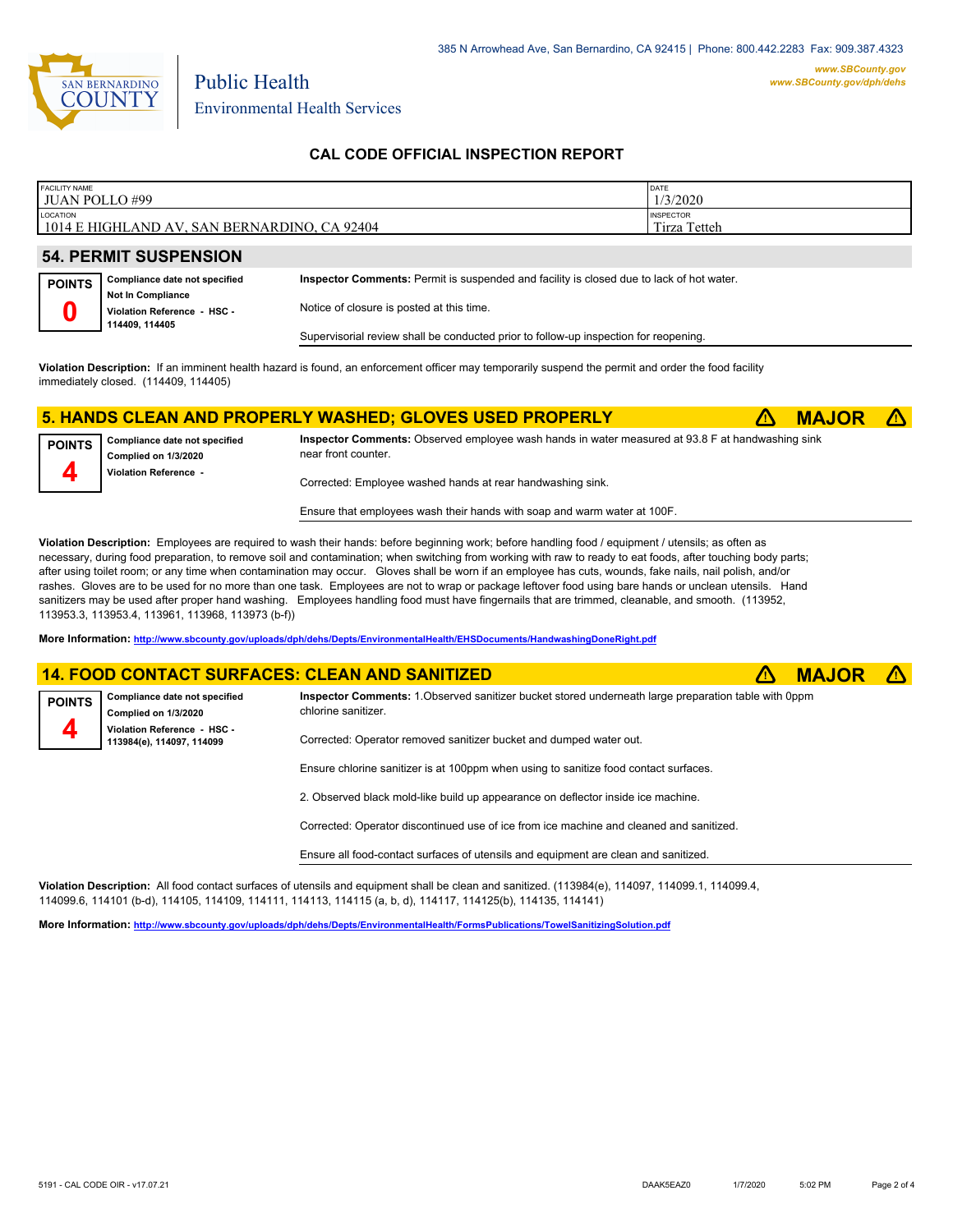

**4**

**POINTS 4**

Environmental Health Services

Public Health

### **CAL CODE OFFICIAL INSPECTION REPORT**

| <b>FACILITY NAME</b><br><b>JUAN POLLO#99</b>             | DATE<br>1/3/2020          |  |  |  |  |  |
|----------------------------------------------------------|---------------------------|--|--|--|--|--|
| LOCATION<br>1014 E HIGHLAND AV, SAN BERNARDINO, CA 92404 | INSPECTOR<br>Tirza Tetteh |  |  |  |  |  |
|                                                          |                           |  |  |  |  |  |
| <b>54. PERMIT SUSPENSION</b>                             |                           |  |  |  |  |  |
|                                                          |                           |  |  |  |  |  |

| <b>POINTS</b> | Compliance date not specified | Inspector Comments: Permit is suspended and facility is closed due to lack of hot water. |  |  |  |
|---------------|-------------------------------|------------------------------------------------------------------------------------------|--|--|--|
|               | <b>Not In Compliance</b>      |                                                                                          |  |  |  |
|               | Violation Reference - HSC -   | Notice of closure is posted at this time.                                                |  |  |  |
|               | 114409.114405                 |                                                                                          |  |  |  |
|               |                               | Supervisorial review shall be conducted prior to follow-up inspection for reopening.     |  |  |  |

**Violation Description:** If an imminent health hazard is found, an enforcement officer may temporarily suspend the permit and order the food facility immediately closed. (114409, 114405)

#### **5. HANDS CLEAN AND PROPERLY WASHED; GLOVES USED PROPERLY** ê**! MAJOR** ê**!**

**Compliance date not specified Complied on 1/3/2020 Violation Reference - POINTS Inspector Comments:** Observed employee wash hands in water measured at 93.8 F at handwashing sink near front counter. Corrected: Employee washed hands at rear handwashing sink.

Ensure that employees wash their hands with soap and warm water at 100F.

**Violation Description:** Employees are required to wash their hands: before beginning work; before handling food / equipment / utensils; as often as necessary, during food preparation, to remove soil and contamination; when switching from working with raw to ready to eat foods, after touching body parts; after using toilet room; or any time when contamination may occur. Gloves shall be worn if an employee has cuts, wounds, fake nails, nail polish, and/or rashes. Gloves are to be used for no more than one task. Employees are not to wrap or package leftover food using bare hands or unclean utensils. Hand sanitizers may be used after proper hand washing. Employees handling food must have fingernails that are trimmed, cleanable, and smooth. (113952, 113953.3, 113953.4, 113961, 113968, 113973 (b-f))

**More Information: <http://www.sbcounty.gov/uploads/dph/dehs/Depts/EnvironmentalHealth/EHSDocuments/HandwashingDoneRight.pdf>**

### **14. FOOD CONTACT SURFACES: CLEAN AND SANITIZED** ê**! MAJOR** ê**!**

**Compliance date not specified Complied on 1/3/2020 Violation Reference - HSC - 113984(e), 114097, 114099 Inspector Comments:** 1.Observed sanitizer bucket stored underneath large preparation table with 0ppm chlorine sanitizer. Corrected: Operator removed sanitizer bucket and dumped water out.

Ensure chlorine sanitizer is at 100ppm when using to sanitize food contact surfaces.

2. Observed black mold-like build up appearance on deflector inside ice machine.

Corrected: Operator discontinued use of ice from ice machine and cleaned and sanitized.

Ensure all food-contact surfaces of utensils and equipment are clean and sanitized.

**Violation Description:** All food contact surfaces of utensils and equipment shall be clean and sanitized. (113984(e), 114097, 114099.1, 114099.4, 114099.6, 114101 (b-d), 114105, 114109, 114111, 114113, 114115 (a, b, d), 114117, 114125(b), 114135, 114141)

**More Information: <http://www.sbcounty.gov/uploads/dph/dehs/Depts/EnvironmentalHealth/FormsPublications/TowelSanitizingSolution.pdf>**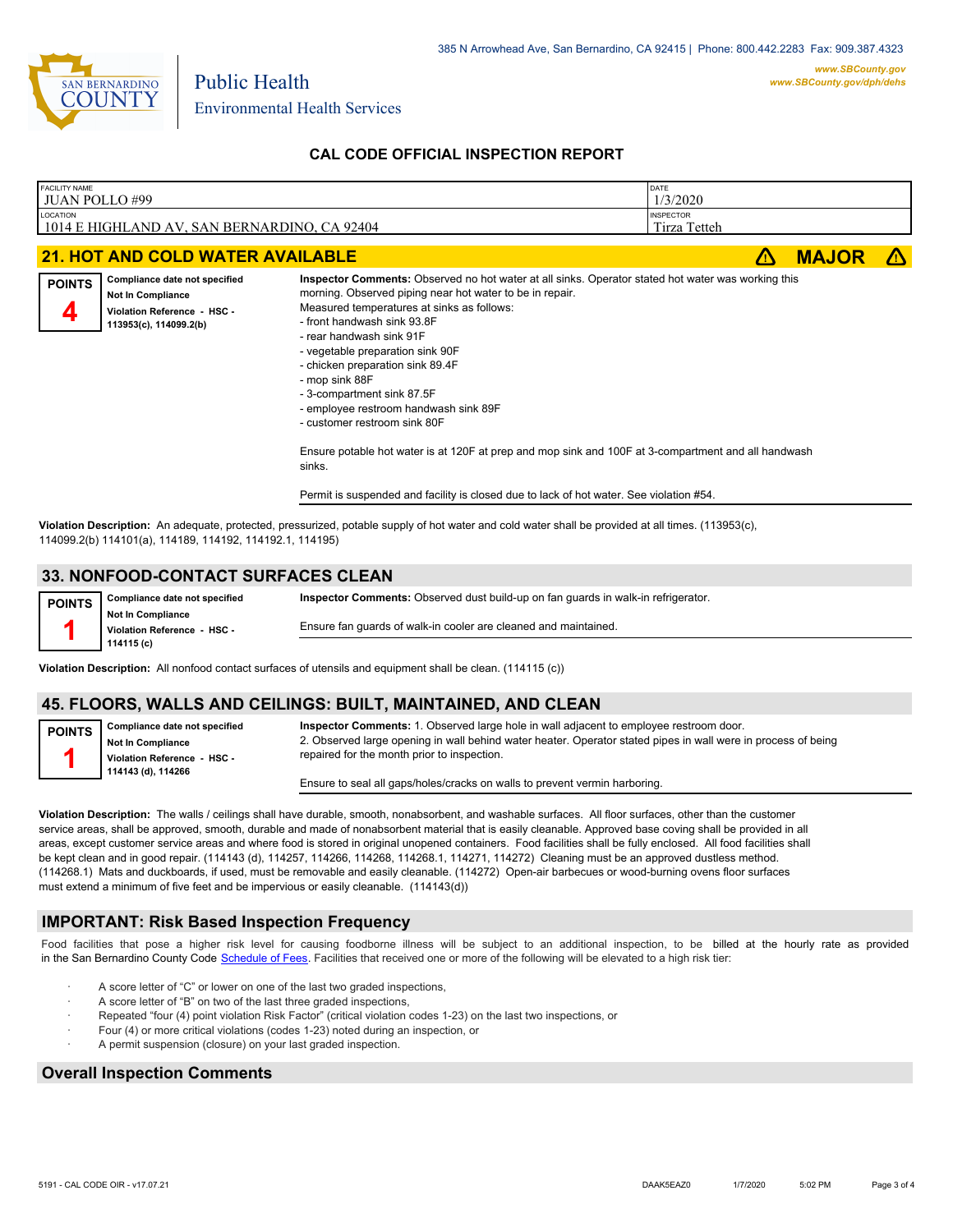

Environmental Health Services

Public Health

## **CAL CODE OFFICIAL INSPECTION REPORT**

| <b>FACILITY NAME</b><br><b>JUAN POLLO#99</b>                                                                                                         |                                  | DATE<br>1/3/2020 |  |              |  |
|------------------------------------------------------------------------------------------------------------------------------------------------------|----------------------------------|------------------|--|--------------|--|
| LOCATION<br>1014 E HIGHLAND AV, SAN BERNARDINO, CA 92404                                                                                             | <b>INSPECTOR</b><br>Tirza Tetteh |                  |  |              |  |
| <b>21. HOT AND COLD WATER AVAILABLE</b>                                                                                                              |                                  |                  |  | <b>MAJOR</b> |  |
| Inspector Comments: Observed no hot water at all sinks. Operator stated hot water was working this<br>Compliance date not specified<br><b>DOINTS</b> |                                  |                  |  |              |  |

| <b>FUINIJ</b> |                             |                                                          |  |
|---------------|-----------------------------|----------------------------------------------------------|--|
|               | Not In Compliance           | morning. Observed piping near hot water to be in repair. |  |
|               | Violation Reference - HSC - | Measured temperatures at sinks as follows:               |  |
|               | 113953(c), 114099.2(b)      | - front handwash sink 93.8F                              |  |
|               |                             | - rear handwash sink 91F                                 |  |
|               |                             | - vegetable preparation sink 90F                         |  |
|               |                             | - chicken preparation sink 89.4F                         |  |
|               |                             | - mop sink 88F                                           |  |
|               |                             | - 3-compartment sink 87.5F                               |  |
|               |                             | - employee restroom handwash sink 89F                    |  |
|               |                             | - customer restroom sink 80F                             |  |

Ensure potable hot water is at 120F at prep and mop sink and 100F at 3-compartment and all handwash sinks.

Permit is suspended and facility is closed due to lack of hot water. See violation #54.

**Violation Description:** An adequate, protected, pressurized, potable supply of hot water and cold water shall be provided at all times. (113953(c), 114099.2(b) 114101(a), 114189, 114192, 114192.1, 114195)

#### **33. NONFOOD-CONTACT SURFACES CLEAN**

| <b>POINTS</b> | Compliance date not specified                           | <b>Inspector Comments:</b> Observed dust build-up on fan quards in walk-in refrigerator. |
|---------------|---------------------------------------------------------|------------------------------------------------------------------------------------------|
|               | <b>Not In Compliance</b><br>Violation Reference - HSC - | Ensure fan guards of walk-in cooler are cleaned and maintained.                          |
|               | 114115 (c)                                              |                                                                                          |

**Violation Description:** All nonfood contact surfaces of utensils and equipment shall be clean. (114115 (c))

#### **45. FLOORS, WALLS AND CEILINGS: BUILT, MAINTAINED, AND CLEAN**

**Compliance date not specified Not In Compliance Violation Reference - HSC - 114143 (d), 114266 Inspector Comments:** 1. Observed large hole in wall adjacent to employee restroom door. 2. Observed large opening in wall behind water heater. Operator stated pipes in wall were in process of being repaired for the month prior to inspection.

Ensure to seal all gaps/holes/cracks on walls to prevent vermin harboring.

**Violation Description:** The walls / ceilings shall have durable, smooth, nonabsorbent, and washable surfaces. All floor surfaces, other than the customer service areas, shall be approved, smooth, durable and made of nonabsorbent material that is easily cleanable. Approved base coving shall be provided in all areas, except customer service areas and where food is stored in original unopened containers. Food facilities shall be fully enclosed. All food facilities shall be kept clean and in good repair. (114143 (d), 114257, 114266, 114268, 114268.1, 114271, 114272) Cleaning must be an approved dustless method. (114268.1) Mats and duckboards, if used, must be removable and easily cleanable. (114272) Open-air barbecues or wood-burning ovens floor surfaces must extend a minimum of five feet and be impervious or easily cleanable. (114143(d))

#### **IMPORTANT: Risk Based Inspection Frequency**

Food facilities that pose a higher risk level for causing foodborne illness will be subject to an additional inspection, to be billed at the hourly rate as provided in the San Bernardino County Code S[chedule of Fees. Facilitie](http://www.amlegal.com/nxt/gateway.dll/California/sanbernardinocounty_ca/title1governmentandadministration/division6countyfees/chapter2scheduleoffees?f=templates$fn=default.htm$3.0$vid=amlegal:sanbernardinocounty_ca$anc=JD_16.0213B)s that received one or more of the following will be elevated to a high risk tier:

- A score letter of "C" or lower on one of the last two graded inspections,
- A score letter of "B" on two of the last three graded inspections,
- Repeated "four (4) point violation Risk Factor" (critical violation codes 1-23) on the last two inspections, or
- · Four (4) or more critical violations (codes 1-23) noted during an inspection, or
- A permit suspension (closure) on your last graded inspection.

#### **Overall Inspection Comments**

**POINTS 1**